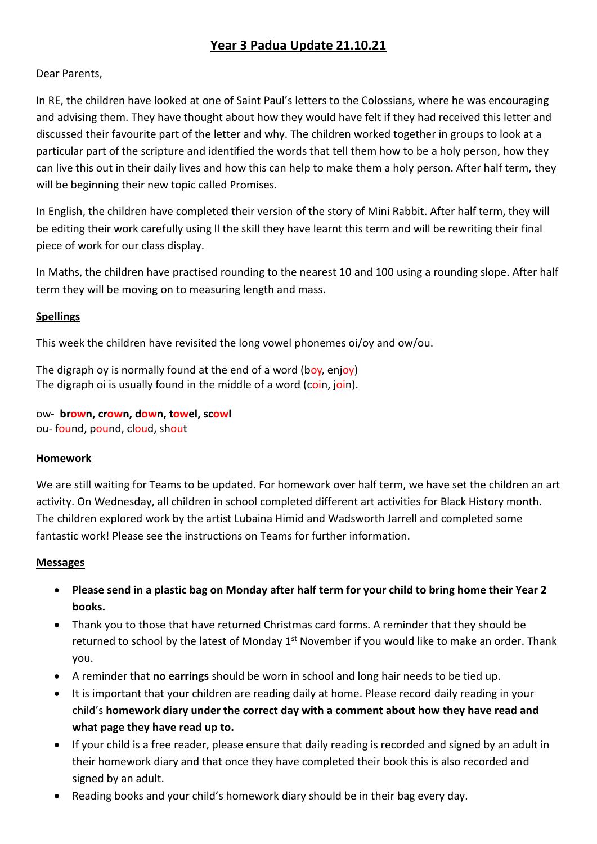# **Year 3 Padua Update 21.10.21**

## Dear Parents,

In RE, the children have looked at one of Saint Paul's letters to the Colossians, where he was encouraging and advising them. They have thought about how they would have felt if they had received this letter and discussed their favourite part of the letter and why. The children worked together in groups to look at a particular part of the scripture and identified the words that tell them how to be a holy person, how they can live this out in their daily lives and how this can help to make them a holy person. After half term, they will be beginning their new topic called Promises.

In English, the children have completed their version of the story of Mini Rabbit. After half term, they will be editing their work carefully using ll the skill they have learnt this term and will be rewriting their final piece of work for our class display.

In Maths, the children have practised rounding to the nearest 10 and 100 using a rounding slope. After half term they will be moving on to measuring length and mass.

### **Spellings**

This week the children have revisited the long vowel phonemes oi/oy and ow/ou.

The digraph ov is normally found at the end of a word (boy, enjoy) The digraph oi is usually found in the middle of a word (coin, join).

ow- **brown, crown, down, towel, scowl** ou- found, pound, cloud, shout

### **Homework**

We are still waiting for Teams to be updated. For homework over half term, we have set the children an art activity. On Wednesday, all children in school completed different art activities for Black History month. The children explored work by the artist Lubaina Himid and Wadsworth Jarrell and completed some fantastic work! Please see the instructions on Teams for further information.

### **Messages**

- **Please send in a plastic bag on Monday after half term for your child to bring home their Year 2 books.**
- Thank you to those that have returned Christmas card forms. A reminder that they should be returned to school by the latest of Monday 1<sup>st</sup> November if you would like to make an order. Thank you.
- A reminder that **no earrings** should be worn in school and long hair needs to be tied up.
- It is important that your children are reading daily at home. Please record daily reading in your child's **homework diary under the correct day with a comment about how they have read and what page they have read up to.**
- If your child is a free reader, please ensure that daily reading is recorded and signed by an adult in their homework diary and that once they have completed their book this is also recorded and signed by an adult.
- Reading books and your child's homework diary should be in their bag every day.